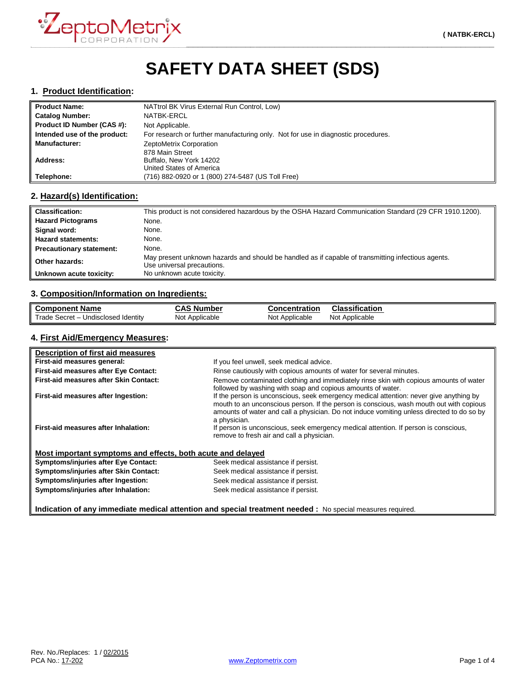

# **SAFETY DATA SHEET (SDS)**

#### **1. Product Identification:**

| <b>Product Name:</b>         | NATtrol BK Virus External Run Control, Low)                                       |  |
|------------------------------|-----------------------------------------------------------------------------------|--|
| <b>Catalog Number:</b>       | <b>NATBK-ERCL</b>                                                                 |  |
| Product ID Number (CAS #):   | Not Applicable.                                                                   |  |
| Intended use of the product: | For research or further manufacturing only. Not for use in diagnostic procedures. |  |
| <b>Manufacturer:</b>         | ZeptoMetrix Corporation                                                           |  |
|                              | 878 Main Street                                                                   |  |
| Address:                     | Buffalo, New York 14202                                                           |  |
|                              | United States of America                                                          |  |
| Telephone:                   | (716) 882-0920 or 1 (800) 274-5487 (US Toll Free)                                 |  |

## **2. Hazard(s) Identification:**

| <b>Classification:</b>          | This product is not considered hazardous by the OSHA Hazard Communication Standard (29 CFR 1910.1200).                           |
|---------------------------------|----------------------------------------------------------------------------------------------------------------------------------|
| <b>Hazard Pictograms</b>        | None.                                                                                                                            |
| Signal word:                    | None.                                                                                                                            |
| <b>Hazard statements:</b>       | None.                                                                                                                            |
| <b>Precautionary statement:</b> | None.                                                                                                                            |
| Other hazards:                  | May present unknown hazards and should be handled as if capable of transmitting infectious agents.<br>Use universal precautions. |
| Unknown acute toxicity:         | No unknown acute toxicity.                                                                                                       |

## **3. Composition/Information on Ingredients:**

| <b>Component Name</b>                      | <b>CAS Number</b> | <b>Concentration</b> | <b>Classification</b> |
|--------------------------------------------|-------------------|----------------------|-----------------------|
| Trade Secret – u<br>– Undisclosed Identitv | Not Applicable    | Not Applicable       | Not Applicable        |

## **4. First Aid/Emergency Measures:**

| Description of first aid measures                           |                                                                                                                                                                                                                                                                                                |
|-------------------------------------------------------------|------------------------------------------------------------------------------------------------------------------------------------------------------------------------------------------------------------------------------------------------------------------------------------------------|
| First-aid measures general:                                 | If you feel unwell, seek medical advice.                                                                                                                                                                                                                                                       |
| First-aid measures after Eye Contact:                       | Rinse cautiously with copious amounts of water for several minutes.                                                                                                                                                                                                                            |
| First-aid measures after Skin Contact:                      | Remove contaminated clothing and immediately rinse skin with copious amounts of water<br>followed by washing with soap and copious amounts of water.                                                                                                                                           |
| First-aid measures after Ingestion:                         | If the person is unconscious, seek emergency medical attention: never give anything by<br>mouth to an unconscious person. If the person is conscious, wash mouth out with copious<br>amounts of water and call a physician. Do not induce vomiting unless directed to do so by<br>a physician. |
| First-aid measures after Inhalation:                        | If person is unconscious, seek emergency medical attention. If person is conscious,<br>remove to fresh air and call a physician.                                                                                                                                                               |
| Most important symptoms and effects, both acute and delayed |                                                                                                                                                                                                                                                                                                |
| <b>Symptoms/injuries after Eye Contact:</b>                 | Seek medical assistance if persist.                                                                                                                                                                                                                                                            |
| Symptoms/injuries after Skin Contact:                       | Seek medical assistance if persist.                                                                                                                                                                                                                                                            |
| Symptoms/injuries after Ingestion:                          | Seek medical assistance if persist.                                                                                                                                                                                                                                                            |
| Symptoms/injuries after Inhalation:                         | Seek medical assistance if persist.                                                                                                                                                                                                                                                            |

**Indication of any immediate medical attention and special treatment needed :** No special measures required.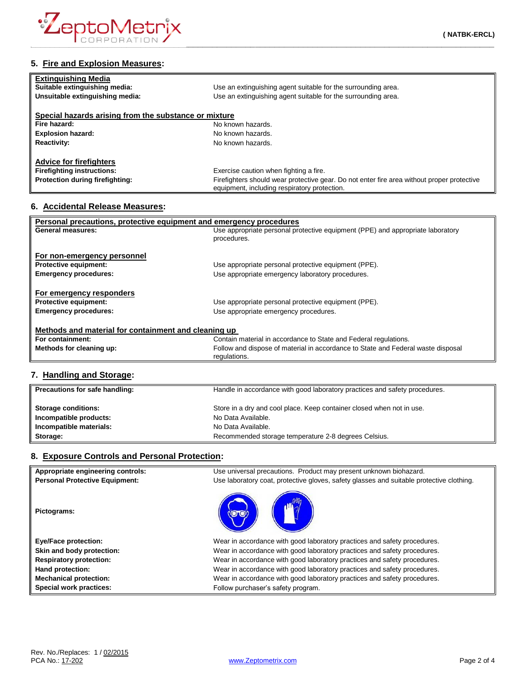

| Use an extinguishing agent suitable for the surrounding area.                                                                              |
|--------------------------------------------------------------------------------------------------------------------------------------------|
| Use an extinguishing agent suitable for the surrounding area.                                                                              |
|                                                                                                                                            |
| Special hazards arising from the substance or mixture                                                                                      |
| No known hazards.                                                                                                                          |
| No known hazards.                                                                                                                          |
| No known hazards.                                                                                                                          |
|                                                                                                                                            |
|                                                                                                                                            |
| Exercise caution when fighting a fire.                                                                                                     |
| Firefighters should wear protective gear. Do not enter fire area without proper protective<br>equipment, including respiratory protection. |
|                                                                                                                                            |

#### **6. Accidental Release Measures:**

| Personal precautions, protective equipment and emergency procedures |                                                                                  |  |
|---------------------------------------------------------------------|----------------------------------------------------------------------------------|--|
| General measures:                                                   | Use appropriate personal protective equipment (PPE) and appropriate laboratory   |  |
|                                                                     | procedures.                                                                      |  |
|                                                                     |                                                                                  |  |
| For non-emergency personnel                                         |                                                                                  |  |
| <b>Protective equipment:</b>                                        | Use appropriate personal protective equipment (PPE).                             |  |
| <b>Emergency procedures:</b>                                        | Use appropriate emergency laboratory procedures.                                 |  |
|                                                                     |                                                                                  |  |
| For emergency responders                                            |                                                                                  |  |
| <b>Protective equipment:</b>                                        | Use appropriate personal protective equipment (PPE).                             |  |
| <b>Emergency procedures:</b>                                        | Use appropriate emergency procedures.                                            |  |
|                                                                     |                                                                                  |  |
| Methods and material for containment and cleaning up                |                                                                                  |  |
| For containment:                                                    | Contain material in accordance to State and Federal regulations.                 |  |
| Methods for cleaning up:                                            | Follow and dispose of material in accordance to State and Federal waste disposal |  |
|                                                                     | regulations.                                                                     |  |

# **7. Handling and Storage:**

| Precautions for safe handling: | Handle in accordance with good laboratory practices and safety procedures. |
|--------------------------------|----------------------------------------------------------------------------|
| <b>Storage conditions:</b>     | Store in a dry and cool place. Keep container closed when not in use.      |
| Incompatible products:         | No Data Available.                                                         |
| Incompatible materials:        | No Data Available.                                                         |
| Storage:                       | Recommended storage temperature 2-8 degrees Celsius.                       |

# **8. Exposure Controls and Personal Protection:**

| Appropriate engineering controls:     | Use universal precautions. Product may present unknown biohazard.                        |
|---------------------------------------|------------------------------------------------------------------------------------------|
| <b>Personal Protective Equipment:</b> | Use laboratory coat, protective gloves, safety glasses and suitable protective clothing. |
| Pictograms:                           |                                                                                          |
| <b>Eye/Face protection:</b>           | Wear in accordance with good laboratory practices and safety procedures.                 |
| Skin and body protection:             | Wear in accordance with good laboratory practices and safety procedures.                 |
| <b>Respiratory protection:</b>        | Wear in accordance with good laboratory practices and safety procedures.                 |
| Hand protection:                      | Wear in accordance with good laboratory practices and safety procedures.                 |
| <b>Mechanical protection:</b>         | Wear in accordance with good laboratory practices and safety procedures.                 |
| <b>Special work practices:</b>        | Follow purchaser's safety program.                                                       |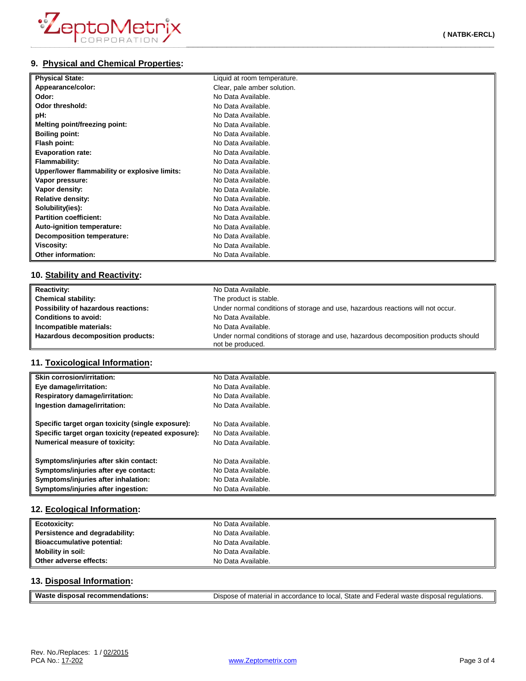# **9. Physical and Chemical Properties:**

| <b>Physical State:</b>                        | Liquid at room temperature. |
|-----------------------------------------------|-----------------------------|
| Appearance/color:                             | Clear, pale amber solution. |
| Odor:                                         | No Data Available.          |
| Odor threshold:                               | No Data Available.          |
| pH:                                           | No Data Available.          |
| Melting point/freezing point:                 | No Data Available.          |
| <b>Boiling point:</b>                         | No Data Available.          |
| Flash point:                                  | No Data Available.          |
| <b>Evaporation rate:</b>                      | No Data Available.          |
| <b>Flammability:</b>                          | No Data Available.          |
| Upper/lower flammability or explosive limits: | No Data Available.          |
| Vapor pressure:                               | No Data Available.          |
| Vapor density:                                | No Data Available.          |
| <b>Relative density:</b>                      | No Data Available.          |
| Solubility(ies):                              | No Data Available.          |
| <b>Partition coefficient:</b>                 | No Data Available.          |
| Auto-ignition temperature:                    | No Data Available.          |
| <b>Decomposition temperature:</b>             | No Data Available.          |
| Viscosity:                                    | No Data Available.          |
| Other information:                            | No Data Available.          |

## **10. Stability and Reactivity:**

| <b>Reactivity:</b>                  | No Data Available.                                                                                      |
|-------------------------------------|---------------------------------------------------------------------------------------------------------|
| <b>Chemical stability:</b>          | The product is stable.                                                                                  |
| Possibility of hazardous reactions: | Under normal conditions of storage and use, hazardous reactions will not occur.                         |
| <b>Conditions to avoid:</b>         | No Data Available.                                                                                      |
| Incompatible materials:             | No Data Available.                                                                                      |
| Hazardous decomposition products:   | Under normal conditions of storage and use, hazardous decomposition products should<br>not be produced. |

## **11. Toxicological Information:**

| <b>Skin corrosion/irritation:</b>                   | No Data Available. |
|-----------------------------------------------------|--------------------|
| Eye damage/irritation:                              | No Data Available. |
| <b>Respiratory damage/irritation:</b>               | No Data Available. |
| Ingestion damage/irritation:                        | No Data Available. |
| Specific target organ toxicity (single exposure):   | No Data Available. |
| Specific target organ toxicity (repeated exposure): | No Data Available. |
| Numerical measure of toxicity:                      | No Data Available. |
| Symptoms/injuries after skin contact:               | No Data Available. |
| Symptoms/injuries after eye contact:                | No Data Available. |
| Symptoms/injuries after inhalation:                 | No Data Available. |
| Symptoms/injuries after ingestion:                  | No Data Available. |

## **12. Ecological Information:**

| Ecotoxicity:                   | No Data Available. |
|--------------------------------|--------------------|
| Persistence and degradability: | No Data Available. |
| Bioaccumulative potential:     | No Data Available. |
| <b>Mobility in soil:</b>       | No Data Available. |
| Other adverse effects:         | No Data Available. |

## **13. Disposal Information:**

| Waste disposal recommendations: | Dispose of material in accordance to local, State and Federal waste disposal regulations. |
|---------------------------------|-------------------------------------------------------------------------------------------|